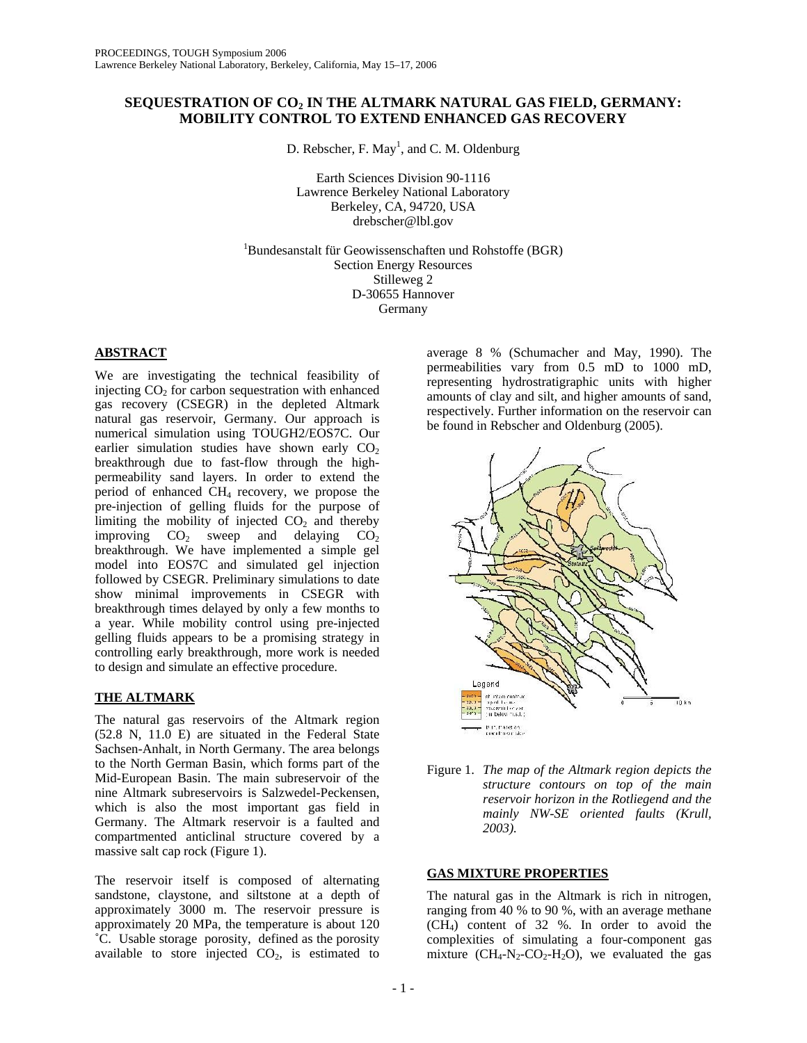## **SEQUESTRATION OF CO2 IN THE ALTMARK NATURAL GAS FIELD, GERMANY: MOBILITY CONTROL TO EXTEND ENHANCED GAS RECOVERY**

D. Rebscher, F. May<sup>1</sup>, and C. M. Oldenburg

Earth Sciences Division 90-1116 Lawrence Berkeley National Laboratory Berkeley, CA, 94720, USA drebscher@lbl.gov

1 Bundesanstalt für Geowissenschaften und Rohstoffe (BGR) Section Energy Resources Stilleweg 2 D-30655 Hannover Germany

### **ABSTRACT**

We are investigating the technical feasibility of injecting  $CO<sub>2</sub>$  for carbon sequestration with enhanced gas recovery (CSEGR) in the depleted Altmark natural gas reservoir, Germany. Our approach is numerical simulation using TOUGH2/EOS7C. Our earlier simulation studies have shown early  $CO<sub>2</sub>$ breakthrough due to fast-flow through the highpermeability sand layers. In order to extend the period of enhanced CH4 recovery, we propose the pre-injection of gelling fluids for the purpose of limiting the mobility of injected  $CO<sub>2</sub>$  and thereby improving  $CO<sub>2</sub>$  sweep and delaying  $CO<sub>2</sub>$ breakthrough. We have implemented a simple gel model into EOS7C and simulated gel injection followed by CSEGR. Preliminary simulations to date show minimal improvements in CSEGR with breakthrough times delayed by only a few months to a year. While mobility control using pre-injected gelling fluids appears to be a promising strategy in controlling early breakthrough, more work is needed to design and simulate an effective procedure.

# **THE ALTMARK**

The natural gas reservoirs of the Altmark region (52.8 N, 11.0 E) are situated in the Federal State Sachsen-Anhalt, in North Germany. The area belongs to the North German Basin, which forms part of the Mid-European Basin. The main subreservoir of the nine Altmark subreservoirs is Salzwedel-Peckensen, which is also the most important gas field in Germany. The Altmark reservoir is a faulted and compartmented anticlinal structure covered by a massive salt cap rock (Figure 1).

The reservoir itself is composed of alternating sandstone, claystone, and siltstone at a depth of approximately 3000 m. The reservoir pressure is approximately 20 MPa, the temperature is about 120 ˚C. Usable storage porosity, defined as the porosity available to store injected  $CO<sub>2</sub>$ , is estimated to

average 8 % (Schumacher and May, 1990). The permeabilities vary from 0.5 mD to 1000 mD, representing hydrostratigraphic units with higher amounts of clay and silt, and higher amounts of sand, respectively. Further information on the reservoir can be found in Rebscher and Oldenburg (2005).



Figure 1. *The map of the Altmark region depicts the structure contours on top of the main reservoir horizon in the Rotliegend and the mainly NW-SE oriented faults (Krull, 2003).*

# **GAS MIXTURE PROPERTIES**

The natural gas in the Altmark is rich in nitrogen, ranging from 40 % to 90 %, with an average methane (CH4) content of 32 %. In order to avoid the complexities of simulating a four-component gas mixture  $(CH_4-N_2\text{-}CO_2\text{-}H_2O)$ , we evaluated the gas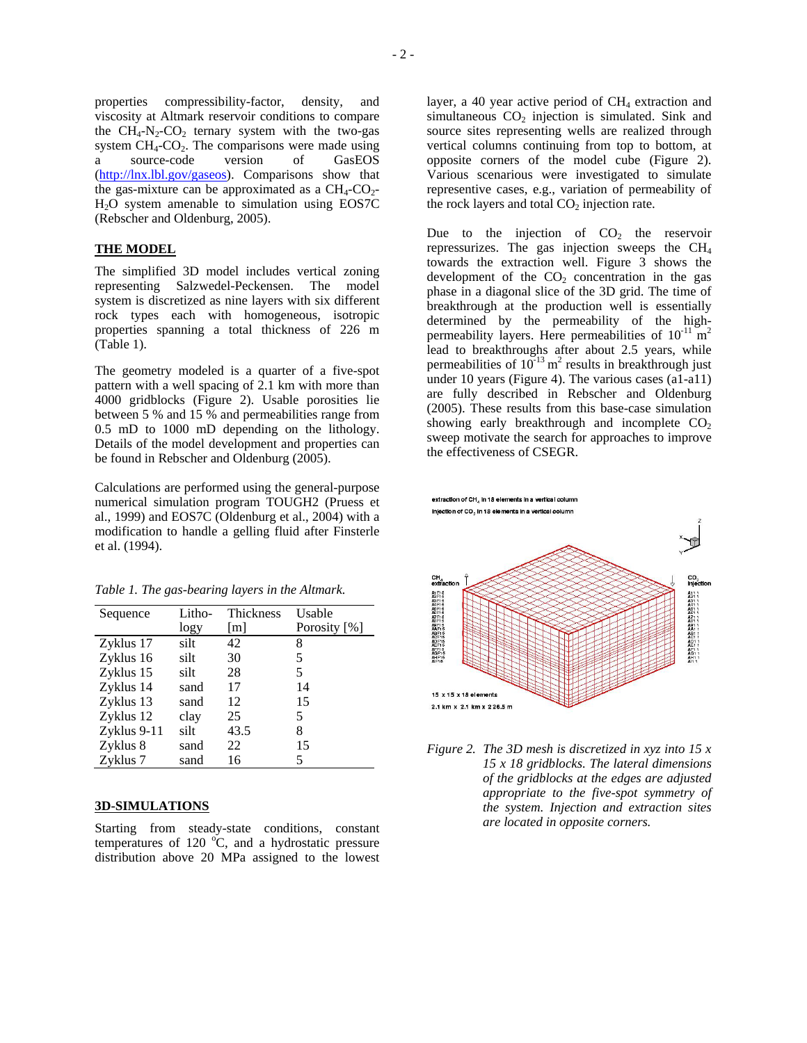properties compressibility-factor, density, and viscosity at Altmark reservoir conditions to compare the  $CH_4$ -N<sub>2</sub>-CO<sub>2</sub> ternary system with the two-gas system  $CH_4$ - $CO_2$ . The comparisons were made using a source-code version of GasEOS [\(http://lnx.lbl.gov/gaseos\)](http://lnx.lbl.gov/gaseos). Comparisons show that the gas-mixture can be approximated as a  $CH_4$ - $CO_2$ -H2O system amenable to simulation using EOS7C (Rebscher and Oldenburg, 2005).

#### **THE MODEL**

The simplified 3D model includes vertical zoning representing Salzwedel-Peckensen. The model system is discretized as nine layers with six different rock types each with homogeneous, isotropic properties spanning a total thickness of 226 m (Table 1).

The geometry modeled is a quarter of a five-spot pattern with a well spacing of 2.1 km with more than 4000 gridblocks (Figure 2). Usable porosities lie between 5 % and 15 % and permeabilities range from 0.5 mD to 1000 mD depending on the lithology. Details of the model development and properties can be found in Rebscher and Oldenburg (2005).

Calculations are performed using the general-purpose numerical simulation program TOUGH2 (Pruess et al., 1999) and EOS7C (Oldenburg et al., 2004) with a modification to handle a gelling fluid after Finsterle et al. (1994).

*Table 1. The gas-bearing layers in the Altmark.* 

| Sequence    | Litho- | Thickness | Usable       |
|-------------|--------|-----------|--------------|
|             | logy   | [m]       | Porosity [%] |
| Zyklus 17   | silt   | 42        | 8            |
| Zyklus 16   | silt   | 30        | 5            |
| Zyklus 15   | silt   | 28        | 5            |
| Zyklus 14   | sand   | 17        | 14           |
| Zyklus 13   | sand   | 12        | 15           |
| Zyklus 12   | clay   | 25        | 5            |
| Zyklus 9-11 | silt   | 43.5      | 8            |
| Zyklus 8    | sand   | 22        | 15           |
| Zyklus 7    | sand   | 16        | 5            |

### **3D-SIMULATIONS**

Starting from steady-state conditions, constant temperatures of 120  $^{\circ}$ C, and a hydrostatic pressure distribution above 20 MPa assigned to the lowest

layer, a 40 year active period of CH<sub>4</sub> extraction and simultaneous  $CO<sub>2</sub>$  injection is simulated. Sink and source sites representing wells are realized through vertical columns continuing from top to bottom, at opposite corners of the model cube (Figure 2). Various scenarious were investigated to simulate representive cases, e.g., variation of permeability of the rock layers and total  $CO<sub>2</sub>$  injection rate.

Due to the injection of  $CO<sub>2</sub>$  the reservoir repressurizes. The gas injection sweeps the  $CH<sub>4</sub>$ towards the extraction well. Figure 3 shows the development of the  $CO<sub>2</sub>$  concentration in the gas phase in a diagonal slice of the 3D grid. The time of breakthrough at the production well is essentially determined by the permeability of the highpermeability layers. Here permeabilities of  $10^{-11}$  m<sup>2</sup> lead to breakthroughs after about 2.5 years, while permeabilities of  $10^{-13}$  m<sup>2</sup> results in breakthrough just under 10 years (Figure 4). The various cases (a1-a11) are fully described in Rebscher and Oldenburg (2005). These results from this base-case simulation showing early breakthrough and incomplete  $CO<sub>2</sub>$ sweep motivate the search for approaches to improve the effectiveness of CSEGR.



*Figure 2. The 3D mesh is discretized in xyz into 15 x 15 x 18 gridblocks. The lateral dimensions of the gridblocks at the edges are adjusted appropriate to the five-spot symmetry of the system. Injection and extraction sites are located in opposite corners.*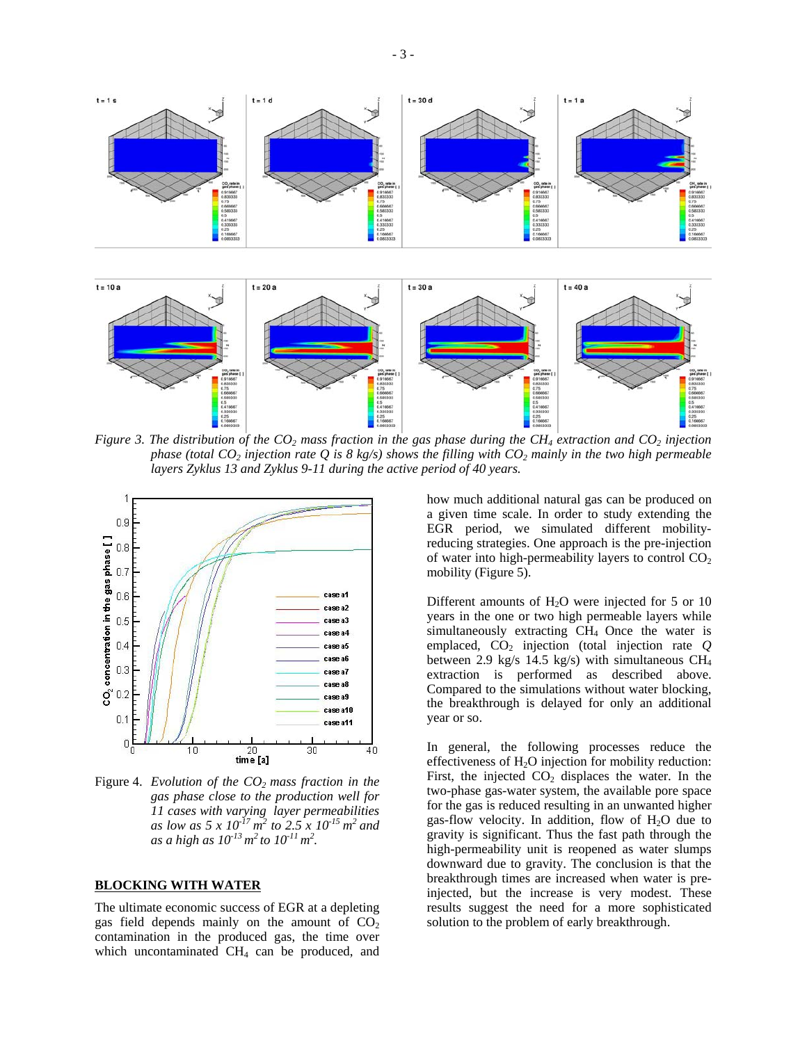



*Figure 3. The distribution of the CO2 mass fraction in the gas phase during the CH4 extraction and CO2 injection phase (total CO<sub>2</sub> injection rate Q is 8 kg/s) shows the filling with CO<sub>2</sub> mainly in the two high permeable layers Zyklus 13 and Zyklus 9-11 during the active period of 40 years.* 



Figure 4. *Evolution of the CO<sub>2</sub> mass fraction in the gas phase close to the production well for 11 cases with varying layer permeabilities as low as 5 x 10-17 m2 to 2.5 x 10-15 m2 and*   $as \ a \ high \ as \ 10^{-13} \, m^2 \, to \ 10^{-11} \, m^2.$ 

### **BLOCKING WITH WATER**

The ultimate economic success of EGR at a depleting gas field depends mainly on the amount of  $CO<sub>2</sub>$ contamination in the produced gas, the time over which uncontaminated  $CH<sub>4</sub>$  can be produced, and

how much additional natural gas can be produced on a given time scale. In order to study extending the EGR period, we simulated different mobilityreducing strategies. One approach is the pre-injection of water into high-permeability layers to control  $CO<sub>2</sub>$ mobility (Figure 5).

Different amounts of  $H<sub>2</sub>O$  were injected for 5 or 10 years in the one or two high permeable layers while simultaneously extracting CH<sub>4</sub> Once the water is emplaced,  $CO<sub>2</sub>$  injection (total injection rate  $Q$ between 2.9 kg/s 14.5 kg/s) with simultaneous  $CH_4$ extraction is performed as described above. Compared to the simulations without water blocking, the breakthrough is delayed for only an additional year or so.

In general, the following processes reduce the effectiveness of  $H_2O$  injection for mobility reduction: First, the injected  $CO<sub>2</sub>$  displaces the water. In the two-phase gas-water system, the available pore space for the gas is reduced resulting in an unwanted higher gas-flow velocity. In addition, flow of  $H_2O$  due to gravity is significant. Thus the fast path through the high-permeability unit is reopened as water slumps downward due to gravity. The conclusion is that the breakthrough times are increased when water is preinjected, but the increase is very modest. These results suggest the need for a more sophisticated solution to the problem of early breakthrough.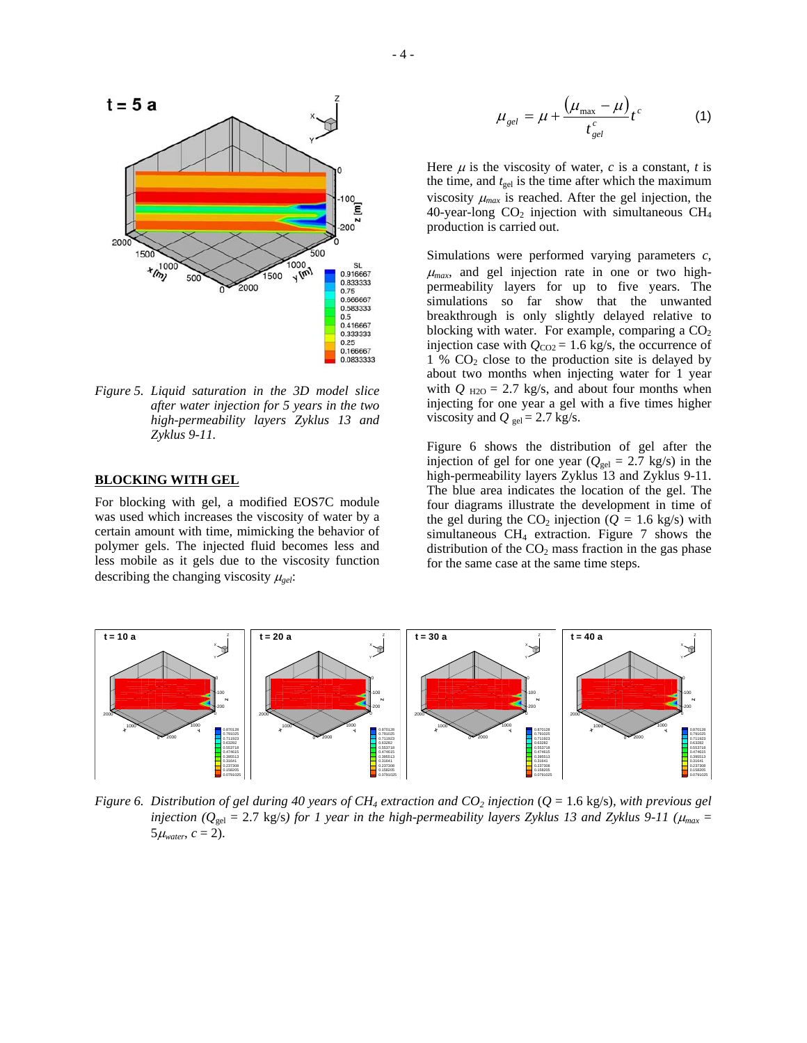

*Figure 5. Liquid saturation in the 3D model slice after water injection for 5 years in the two high-permeability layers Zyklus 13 and Zyklus 9-11.*

#### **BLOCKING WITH GEL**

For blocking with gel, a modified EOS7C module was used which increases the viscosity of water by a certain amount with time, mimicking the behavior of polymer gels. The injected fluid becomes less and less mobile as it gels due to the viscosity function describing the changing viscosity <sup>µ</sup>*gel*:

$$
\mu_{gel} = \mu + \frac{(\mu_{\text{max}} - \mu)}{t_{gel}^c} t^c \tag{1}
$$

Here  $\mu$  is the viscosity of water,  $c$  is a constant,  $t$  is the time, and  $t_{gel}$  is the time after which the maximum viscosity  $\mu_{max}$  is reached. After the gel injection, the 40-year-long  $CO<sub>2</sub>$  injection with simultaneous  $CH<sub>4</sub>$ production is carried out.

Simulations were performed varying parameters *c*,  $\mu_{max}$ , and gel injection rate in one or two highpermeability layers for up to five years. The simulations so far show that the unwanted breakthrough is only slightly delayed relative to blocking with water. For example, comparing a  $CO<sub>2</sub>$ injection case with  $Q_{CO2} = 1.6$  kg/s, the occurrence of 1 %  $CO<sub>2</sub>$  close to the production site is delayed by about two months when injecting water for 1 year with  $Q_{H2O} = 2.7$  kg/s, and about four months when injecting for one year a gel with a five times higher viscosity and  $Q_{gel} = 2.7$  kg/s.

Figure 6 shows the distribution of gel after the injection of gel for one year ( $Q_{gel} = 2.7$  kg/s) in the high-permeability layers Zyklus 13 and Zyklus 9-11. The blue area indicates the location of the gel. The four diagrams illustrate the development in time of the gel during the  $CO_2$  injection ( $Q = 1.6$  kg/s) with simultaneous  $CH_4$  extraction. Figure 7 shows the distribution of the  $CO<sub>2</sub>$  mass fraction in the gas phase for the same case at the same time steps.



*Figure 6.* Distribution of gel during 40 years of  $CH_4$  extraction and  $CO_2$  injection  $(Q = 1.6 \text{ kg/s})$ , with previous gel *injection* ( $Q_{gel} = 2.7$  kg/s) for 1 year in the high-permeability layers Zyklus 13 and Zyklus 9-11 ( $\mu_{max} =$  $5\mu_{water}$ ,  $c = 2$ ).